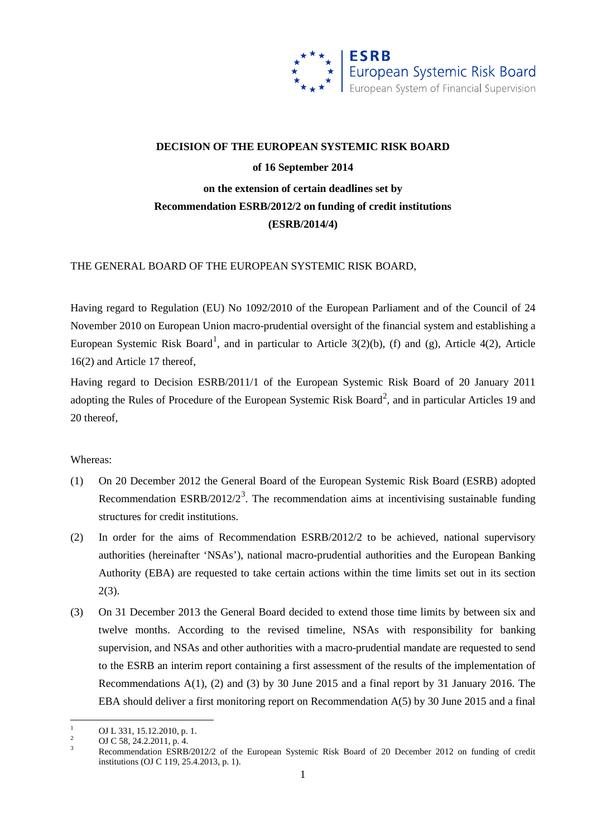

# **DECISION OF THE EUROPEAN SYSTEMIC RISK BOARD of 16 September 2014 on the extension of certain deadlines set by Recommendation ESRB/2012/2 on funding of credit institutions (ESRB/2014/4)**

THE GENERAL BOARD OF THE EUROPEAN SYSTEMIC RISK BOARD,

Having regard to Regulation (EU) No 1092/2010 of the European Parliament and of the Council of 24 November 2010 on European Union macro-prudential oversight of the financial system and establishing a European Systemic Risk Board<sup>[1](#page-0-0)</sup>, and in particular to Article 3(2)(b), (f) and (g), Article 4(2), Article 16(2) and Article 17 thereof,

Having regard to Decision ESRB/2011/1 of the European Systemic Risk Board of 20 January 2011 adopting the Rules of Procedure of the European Systemic Risk Board<sup>[2](#page-0-1)</sup>, and in particular Articles 19 and 20 thereof,

#### Whereas:

- (1) On 20 December 2012 the General Board of the European Systemic Risk Board (ESRB) adopted Recommendation ESRB/2012/2<sup>[3](#page-0-2)</sup>. The recommendation aims at incentivising sustainable funding structures for credit institutions.
- (2) In order for the aims of Recommendation ESRB/2012/2 to be achieved, national supervisory authorities (hereinafter 'NSAs'), national macro-prudential authorities and the European Banking Authority (EBA) are requested to take certain actions within the time limits set out in its section 2(3).
- (3) On 31 December 2013 the General Board decided to extend those time limits by between six and twelve months. According to the revised timeline, NSAs with responsibility for banking supervision, and NSAs and other authorities with a macro-prudential mandate are requested to send to the ESRB an interim report containing a first assessment of the results of the implementation of Recommendations A(1), (2) and (3) by 30 June 2015 and a final report by 31 January 2016. The EBA should deliver a first monitoring report on Recommendation A(5) by 30 June 2015 and a final

<span id="page-0-2"></span>

<span id="page-0-1"></span><span id="page-0-0"></span><sup>1</sup> OJ L 331, 15.12.2010, p. 1.<br><sup>2</sup> OJ C 58, 24.2.2011, p. 4.<br><sup>3</sup> Recommendation ESRB/2012/2 of the European Systemic Risk Board of 20 December 2012 on funding of credit institutions (OJ C 119, 25.4.2013, p. 1).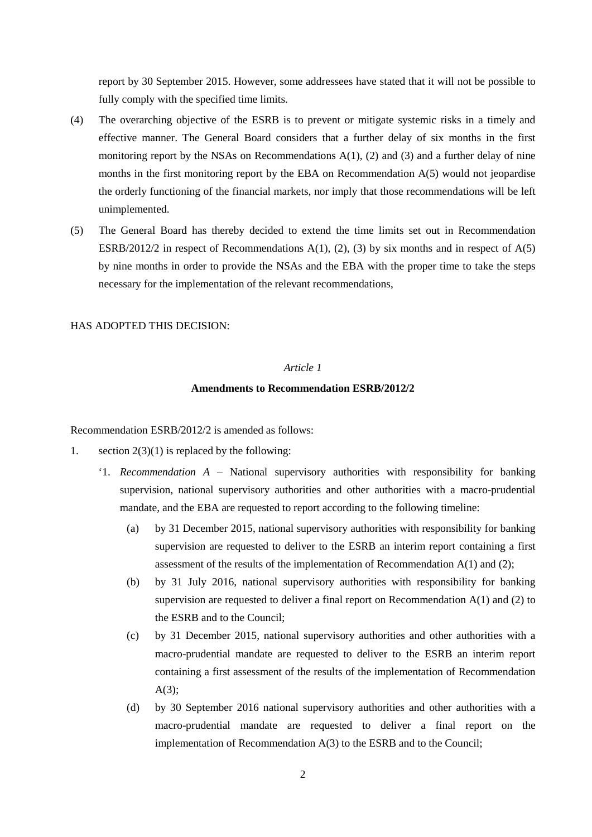report by 30 September 2015. However, some addressees have stated that it will not be possible to fully comply with the specified time limits.

- (4) The overarching objective of the ESRB is to prevent or mitigate systemic risks in a timely and effective manner. The General Board considers that a further delay of six months in the first monitoring report by the NSAs on Recommendations  $A(1)$ , (2) and (3) and a further delay of nine months in the first monitoring report by the EBA on Recommendation A(5) would not jeopardise the orderly functioning of the financial markets, nor imply that those recommendations will be left unimplemented.
- (5) The General Board has thereby decided to extend the time limits set out in Recommendation ESRB/2012/2 in respect of Recommendations  $A(1)$ , (2), (3) by six months and in respect of  $A(5)$ by nine months in order to provide the NSAs and the EBA with the proper time to take the steps necessary for the implementation of the relevant recommendations,

HAS ADOPTED THIS DECISION:

# *Article 1*

#### **Amendments to Recommendation ESRB/2012/2**

Recommendation ESRB/2012/2 is amended as follows:

- 1. section  $2(3)(1)$  is replaced by the following:
	- '1. *Recommendation A* National supervisory authorities with responsibility for banking supervision, national supervisory authorities and other authorities with a macro-prudential mandate, and the EBA are requested to report according to the following timeline:
		- (a) by 31 December 2015, national supervisory authorities with responsibility for banking supervision are requested to deliver to the ESRB an interim report containing a first assessment of the results of the implementation of Recommendation A(1) and (2);
		- (b) by 31 July 2016, national supervisory authorities with responsibility for banking supervision are requested to deliver a final report on Recommendation  $A(1)$  and  $(2)$  to the ESRB and to the Council;
		- (c) by 31 December 2015, national supervisory authorities and other authorities with a macro-prudential mandate are requested to deliver to the ESRB an interim report containing a first assessment of the results of the implementation of Recommendation A(3);
		- (d) by 30 September 2016 national supervisory authorities and other authorities with a macro-prudential mandate are requested to deliver a final report on the implementation of Recommendation A(3) to the ESRB and to the Council;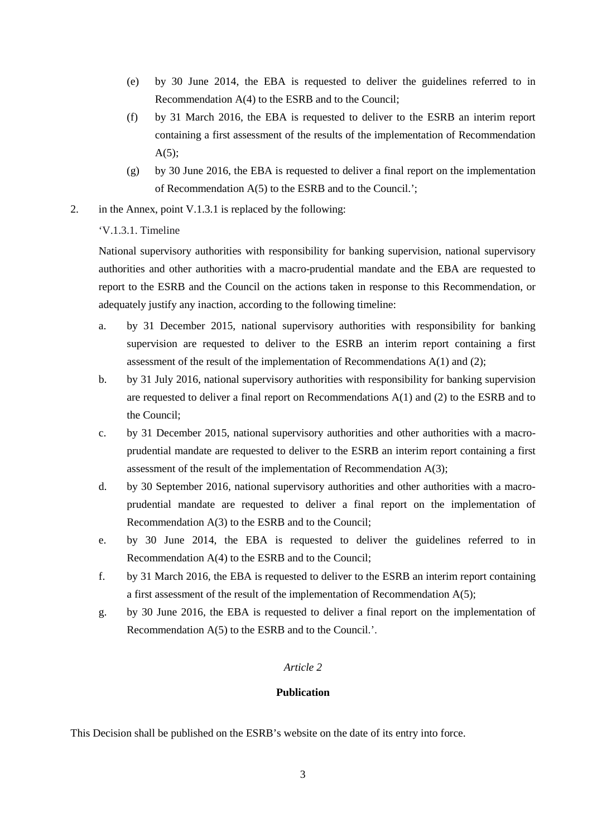- (e) by 30 June 2014, the EBA is requested to deliver the guidelines referred to in Recommendation A(4) to the ESRB and to the Council;
- (f) by 31 March 2016, the EBA is requested to deliver to the ESRB an interim report containing a first assessment of the results of the implementation of Recommendation  $A(5)$ ;
- (g) by 30 June 2016, the EBA is requested to deliver a final report on the implementation of Recommendation A(5) to the ESRB and to the Council.';
- 2. in the Annex, point V.1.3.1 is replaced by the following:

# 'V.1.3.1. Timeline

National supervisory authorities with responsibility for banking supervision, national supervisory authorities and other authorities with a macro-prudential mandate and the EBA are requested to report to the ESRB and the Council on the actions taken in response to this Recommendation, or adequately justify any inaction, according to the following timeline:

- a. by 31 December 2015, national supervisory authorities with responsibility for banking supervision are requested to deliver to the ESRB an interim report containing a first assessment of the result of the implementation of Recommendations A(1) and (2);
- b. by 31 July 2016, national supervisory authorities with responsibility for banking supervision are requested to deliver a final report on Recommendations A(1) and (2) to the ESRB and to the Council;
- c. by 31 December 2015, national supervisory authorities and other authorities with a macroprudential mandate are requested to deliver to the ESRB an interim report containing a first assessment of the result of the implementation of Recommendation A(3);
- d. by 30 September 2016, national supervisory authorities and other authorities with a macroprudential mandate are requested to deliver a final report on the implementation of Recommendation A(3) to the ESRB and to the Council;
- e. by 30 June 2014, the EBA is requested to deliver the guidelines referred to in Recommendation A(4) to the ESRB and to the Council;
- f. by 31 March 2016, the EBA is requested to deliver to the ESRB an interim report containing a first assessment of the result of the implementation of Recommendation  $A(5)$ ;
- g. by 30 June 2016, the EBA is requested to deliver a final report on the implementation of Recommendation A(5) to the ESRB and to the Council.'.

## *Article 2*

## **Publication**

This Decision shall be published on the ESRB's website on the date of its entry into force.